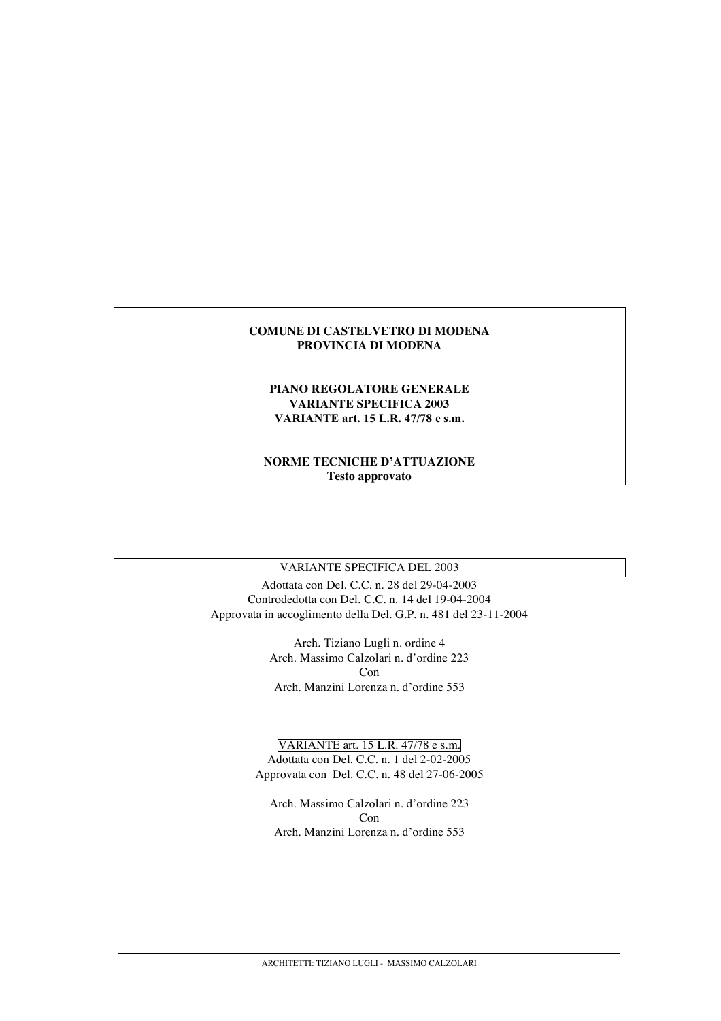#### **COMUNE DI CASTELVETRO DI MODENA PROVINCIA DI MODENA**

#### **PIANO REGOLATORE GENERALE VARIANTE SPECIFICA 2003 VARIANTE art. 15 L.R. 47/78 e s.m.**

### **NORME TECNICHE D'ATTUAZIONE Testo approvato**

## VARIANTE SPECIFICA DEL 2003

Adottata con Del. C.C. n. 28 del 29-04-2003 Controdedotta con Del. C.C. n. 14 del 19-04-2004 Approvata in accoglimento della Del. G.P. n. 481 del 23-11-2004

> Arch. Tiziano Lugli n. ordine 4 Arch. Massimo Calzolari n. d'ordine 223  $Con$ Arch. Manzini Lorenza n. d'ordine 553

VARIANTE art. 15 L.R. 47/78 e s.m. Adottata con Del. C.C. n. 1 del 2-02-2005 Approvata con Del. C.C. n. 48 del 27-06-2005

Arch. Massimo Calzolari n. d'ordine 223 Con Arch. Manzini Lorenza n. d'ordine 553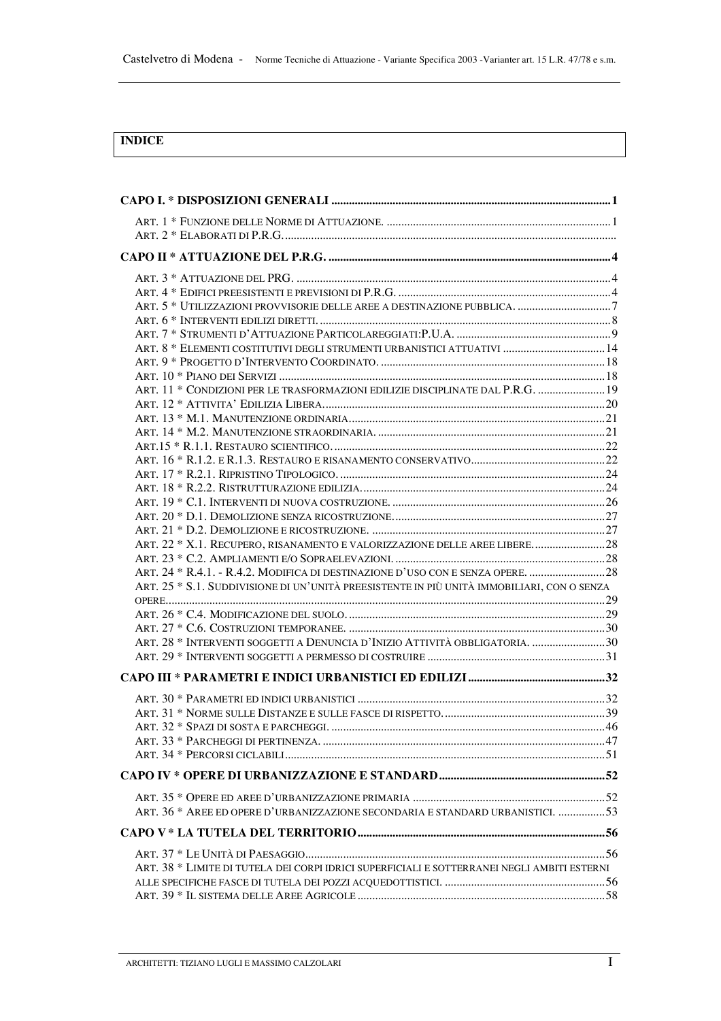## **INDICE**

| ART. 8 * ELEMENTI COSTITUTIVI DEGLI STRUMENTI URBANISTICI ATTUATIVI  14                     |  |
|---------------------------------------------------------------------------------------------|--|
|                                                                                             |  |
|                                                                                             |  |
| ART. 11 * CONDIZIONI PER LE TRASFORMAZIONI EDILIZIE DISCIPLINATE DAL P.R.G.  19             |  |
|                                                                                             |  |
|                                                                                             |  |
|                                                                                             |  |
|                                                                                             |  |
|                                                                                             |  |
|                                                                                             |  |
|                                                                                             |  |
|                                                                                             |  |
|                                                                                             |  |
|                                                                                             |  |
| ART. 22 * X.1. RECUPERO, RISANAMENTO E VALORIZZAZIONE DELLE AREE LIBERE28                   |  |
|                                                                                             |  |
| ART. 24 * R.4.1. - R.4.2. MODIFICA DI DESTINAZIONE D'USO CON E SENZA OPERE.  28             |  |
| ART. 25 * S.1. SUDDIVISIONE DI UN'UNITÀ PREESISTENTE IN PIÙ UNITÀ IMMOBILIARI, CON O SENZA  |  |
|                                                                                             |  |
|                                                                                             |  |
|                                                                                             |  |
| ART. 28 * INTERVENTI SOGGETTI A DENUNCIA D'INIZIO ATTIVITÀ OBBLIGATORIA. 30                 |  |
|                                                                                             |  |
|                                                                                             |  |
|                                                                                             |  |
|                                                                                             |  |
|                                                                                             |  |
|                                                                                             |  |
|                                                                                             |  |
|                                                                                             |  |
|                                                                                             |  |
| ART. 36 * AREE ED OPERE D'URBANIZZAZIONE SECONDARIA E STANDARD URBANISTICI. 53              |  |
|                                                                                             |  |
|                                                                                             |  |
| ART. 38 * LIMITE DI TUTELA DEI CORPI IDRICI SUPERFICIALI E SOTTERRANEI NEGLI AMBITI ESTERNI |  |
|                                                                                             |  |
|                                                                                             |  |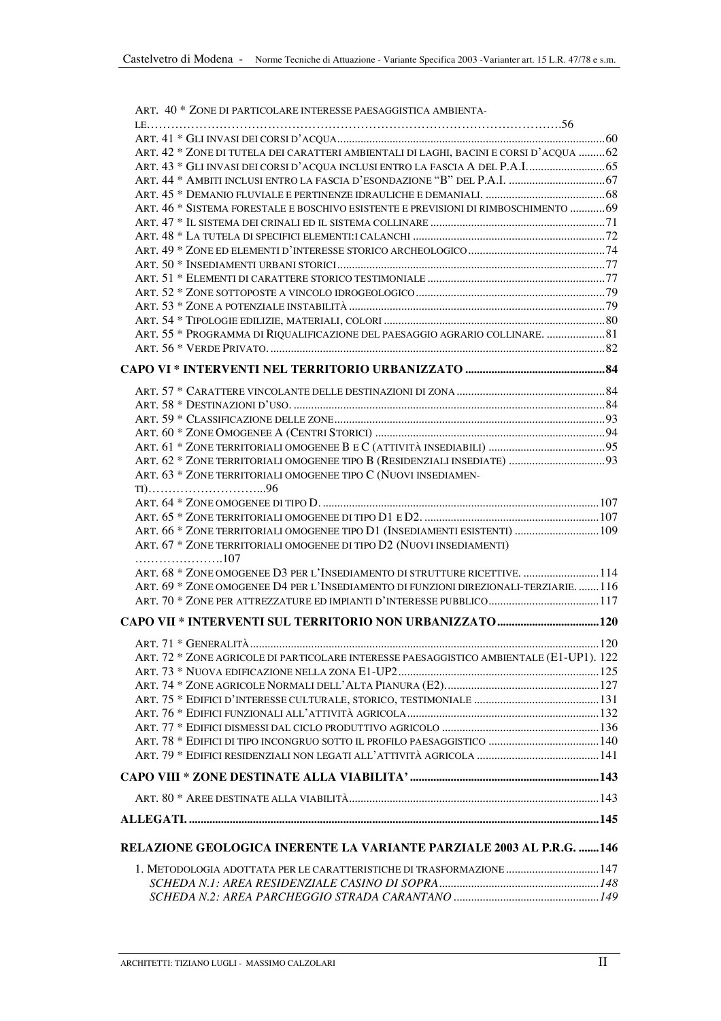| ART. 40 * ZONE DI PARTICOLARE INTERESSE PAESAGGISTICA AMBIENTA-                         |     |
|-----------------------------------------------------------------------------------------|-----|
|                                                                                         |     |
| ART. 42 * ZONE DI TUTELA DEI CARATTERI AMBIENTALI DI LAGHI, BACINI E CORSI D'ACQUA 62   |     |
| ART. 43 * GLI INVASI DEI CORSI D'ACQUA INCLUSI ENTRO LA FASCIA A DEL P.A.I 65           |     |
| ART. 44 * AMBITI INCLUSI ENTRO LA FASCIA D'ESONDAZIONE "B" DEL P.A.I.  67               |     |
|                                                                                         |     |
| ART. 46 * SISTEMA FORESTALE E BOSCHIVO ESISTENTE E PREVISIONI DI RIMBOSCHIMENTO 69      |     |
|                                                                                         |     |
|                                                                                         |     |
|                                                                                         |     |
|                                                                                         |     |
|                                                                                         |     |
|                                                                                         |     |
|                                                                                         |     |
|                                                                                         |     |
| ART. 55 * PROGRAMMA DI RIQUALIFICAZIONE DEL PAESAGGIO AGRARIO COLLINARE.  81            |     |
|                                                                                         |     |
|                                                                                         |     |
|                                                                                         |     |
|                                                                                         |     |
|                                                                                         |     |
|                                                                                         |     |
|                                                                                         |     |
| ART. 62 * ZONE TERRITORIALI OMOGENEE TIPO B (RESIDENZIALI INSEDIATE)  93                |     |
| ART. 63 * ZONE TERRITORIALI OMOGENEE TIPO C (NUOVI INSEDIAMEN-                          |     |
|                                                                                         |     |
|                                                                                         |     |
|                                                                                         |     |
| ART. 66 * ZONE TERRITORIALI OMOGENEE TIPO D1 (INSEDIAMENTI ESISTENTI)  109              |     |
| ART. 67 * ZONE TERRITORIALI OMOGENEE DI TIPO D2 (NUOVI INSEDIAMENTI)                    |     |
| 107                                                                                     |     |
| ART. 68 * ZONE OMOGENEE D3 PER L'INSEDIAMENTO DI STRUTTURE RICETTIVE.  114              |     |
| ART. 69 * ZONE OMOGENEE D4 PER L'INSEDIAMENTO DI FUNZIONI DIREZIONALI-TERZIARIE. 116    |     |
|                                                                                         |     |
|                                                                                         |     |
| ART. 71 * GENERALITÀ.                                                                   | 120 |
| ART. 72 * ZONE AGRICOLE DI PARTICOLARE INTERESSE PAESAGGISTICO AMBIENTALE (E1-UP1). 122 |     |
|                                                                                         |     |
|                                                                                         |     |
|                                                                                         |     |
|                                                                                         |     |
|                                                                                         |     |
| ART. 78 * EDIFICI DI TIPO INCONGRUO SOTTO IL PROFILO PAESAGGISTICO  140                 |     |
|                                                                                         |     |
|                                                                                         |     |
|                                                                                         |     |
|                                                                                         |     |
|                                                                                         |     |
| RELAZIONE GEOLOGICA INERENTE LA VARIANTE PARZIALE 2003 AL P.R.G. 146                    |     |
| 1. METODOLOGIA ADOTTATA PER LE CARATTERISTICHE DI TRASFORMAZIONE  147                   |     |
|                                                                                         |     |
|                                                                                         |     |
|                                                                                         |     |